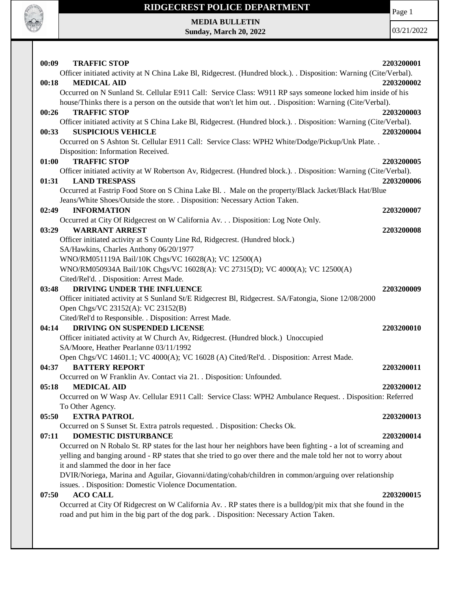

# **RIDGECREST POLICE DEPARTMENT MEDIA BULLETIN**

**Sunday, March 20, 2022**

Page 1

| 00:09<br><b>TRAFFIC STOP</b>                                                                                       | 2203200001 |
|--------------------------------------------------------------------------------------------------------------------|------------|
| Officer initiated activity at N China Lake Bl, Ridgecrest. (Hundred block.). . Disposition: Warning (Cite/Verbal). |            |
| <b>MEDICAL AID</b><br>00:18                                                                                        | 2203200002 |
| Occurred on N Sunland St. Cellular E911 Call: Service Class: W911 RP says someone locked him inside of his         |            |
| house/Thinks there is a person on the outside that won't let him out. . Disposition: Warning (Cite/Verbal).        |            |
| 00:26<br><b>TRAFFIC STOP</b>                                                                                       | 2203200003 |
| Officer initiated activity at S China Lake Bl, Ridgecrest. (Hundred block.). . Disposition: Warning (Cite/Verbal). |            |
| <b>SUSPICIOUS VEHICLE</b><br>00:33                                                                                 | 2203200004 |
| Occurred on S Ashton St. Cellular E911 Call: Service Class: WPH2 White/Dodge/Pickup/Unk Plate. .                   |            |
| Disposition: Information Received.                                                                                 |            |
| <b>TRAFFIC STOP</b><br>01:00                                                                                       | 2203200005 |
| Officer initiated activity at W Robertson Av, Ridgecrest. (Hundred block.). . Disposition: Warning (Cite/Verbal).  |            |
| 01:31<br><b>LAND TRESPASS</b>                                                                                      | 2203200006 |
| Occurred at Fastrip Food Store on S China Lake Bl. . Male on the property/Black Jacket/Black Hat/Blue              |            |
| Jeans/White Shoes/Outside the store. . Disposition: Necessary Action Taken.                                        |            |
|                                                                                                                    |            |
| 02:49<br><b>INFORMATION</b>                                                                                        | 2203200007 |
| Occurred at City Of Ridgecrest on W California Av. Disposition: Log Note Only.                                     |            |
| <b>WARRANT ARREST</b><br>03:29                                                                                     | 2203200008 |
| Officer initiated activity at S County Line Rd, Ridgecrest. (Hundred block.)                                       |            |
| SA/Hawkins, Charles Anthony 06/20/1977                                                                             |            |
| WNO/RM051119A Bail/10K Chgs/VC 16028(A); VC 12500(A)                                                               |            |
| WNO/RM050934A Bail/10K Chgs/VC 16028(A): VC 27315(D); VC 4000(A); VC 12500(A)                                      |            |
| Cited/Rel'd. . Disposition: Arrest Made.                                                                           |            |
| DRIVING UNDER THE INFLUENCE<br>03:48                                                                               | 2203200009 |
| Officer initiated activity at S Sunland St/E Ridgecrest Bl, Ridgecrest. SA/Fatongia, Sione 12/08/2000              |            |
| Open Chgs/VC 23152(A): VC 23152(B)                                                                                 |            |
| Cited/Rel'd to Responsible. . Disposition: Arrest Made.                                                            |            |
| DRIVING ON SUSPENDED LICENSE<br>04:14                                                                              | 2203200010 |
| Officer initiated activity at W Church Av, Ridgecrest. (Hundred block.) Unoccupied                                 |            |
| SA/Moore, Heather Pearlanne 03/11/1992                                                                             |            |
| Open Chgs/VC 14601.1; VC 4000(A); VC 16028 (A) Cited/Rel'd. . Disposition: Arrest Made.                            |            |
| 04:37<br><b>BATTERY REPORT</b>                                                                                     | 2203200011 |
| Occurred on W Franklin Av. Contact via 21. . Disposition: Unfounded.                                               |            |
| <b>MEDICAL AID</b><br>05:18                                                                                        | 2203200012 |
| Occurred on W Wasp Av. Cellular E911 Call: Service Class: WPH2 Ambulance Request. . Disposition: Referred          |            |
| To Other Agency.                                                                                                   |            |
| <b>EXTRA PATROL</b><br>05:50                                                                                       | 2203200013 |
| Occurred on S Sunset St. Extra patrols requested. . Disposition: Checks Ok.                                        |            |
| 07:11<br><b>DOMESTIC DISTURBANCE</b>                                                                               | 2203200014 |
| Occurred on N Robalo St. RP states for the last hour her neighbors have been fighting - a lot of screaming and     |            |
| yelling and banging around - RP states that she tried to go over there and the male told her not to worry about    |            |
| it and slammed the door in her face                                                                                |            |
| DVIR/Noriega, Marina and Aguilar, Giovanni/dating/cohab/children in common/arguing over relationship               |            |
| issues. . Disposition: Domestic Violence Documentation.                                                            |            |
| <b>ACO CALL</b><br>07:50                                                                                           | 2203200015 |
| Occurred at City Of Ridgecrest on W California Av. . RP states there is a bulldog/pit mix that she found in the    |            |
| road and put him in the big part of the dog park. . Disposition: Necessary Action Taken.                           |            |
|                                                                                                                    |            |
|                                                                                                                    |            |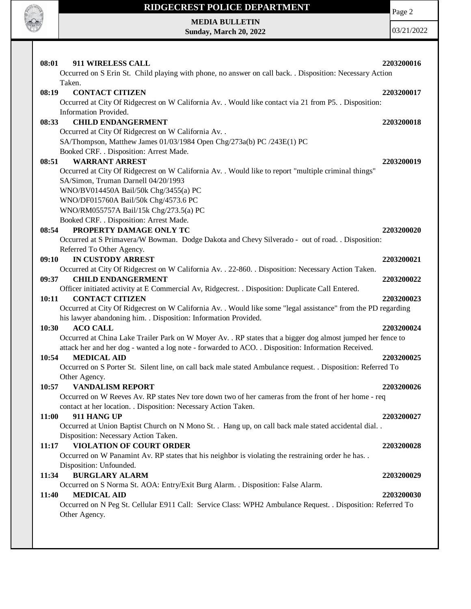

# **RIDGECREST POLICE DEPARTMENT MEDIA BULLETIN**

**Sunday, March 20, 2022**

Page 2

| 911 WIRELESS CALL<br>08:01                                                                                    | 2203200016 |
|---------------------------------------------------------------------------------------------------------------|------------|
| Occurred on S Erin St. Child playing with phone, no answer on call back. Disposition: Necessary Action        |            |
| Taken.                                                                                                        |            |
| 08:19<br><b>CONTACT CITIZEN</b>                                                                               | 2203200017 |
| Occurred at City Of Ridgecrest on W California Av. . Would like contact via 21 from P5. . Disposition:        |            |
| Information Provided.                                                                                         |            |
| <b>CHILD ENDANGERMENT</b><br>08:33                                                                            | 2203200018 |
| Occurred at City Of Ridgecrest on W California Av. .                                                          |            |
| SA/Thompson, Matthew James 01/03/1984 Open Chg/273a(b) PC /243E(1) PC                                         |            |
| Booked CRF. . Disposition: Arrest Made.                                                                       |            |
| 08:51<br><b>WARRANT ARREST</b>                                                                                | 2203200019 |
| Occurred at City Of Ridgecrest on W California Av. . Would like to report "multiple criminal things"          |            |
| SA/Simon, Truman Darnell 04/20/1993                                                                           |            |
| WNO/BV014450A Bail/50k Chg/3455(a) PC                                                                         |            |
| WNO/DF015760A Bail/50k Chg/4573.6 PC                                                                          |            |
| WNO/RM055757A Bail/15k Chg/273.5(a) PC                                                                        |            |
| Booked CRF. . Disposition: Arrest Made.                                                                       |            |
| PROPERTY DAMAGE ONLY TC<br>08:54                                                                              | 2203200020 |
| Occurred at S Primavera/W Bowman. Dodge Dakota and Chevy Silverado - out of road. . Disposition:              |            |
| Referred To Other Agency.                                                                                     |            |
| IN CUSTODY ARREST<br>09:10                                                                                    | 2203200021 |
| Occurred at City Of Ridgecrest on W California Av. . 22-860. . Disposition: Necessary Action Taken.           |            |
| 09:37<br><b>CHILD ENDANGERMENT</b>                                                                            | 2203200022 |
| Officer initiated activity at E Commercial Av, Ridgecrest. . Disposition: Duplicate Call Entered.             |            |
| <b>CONTACT CITIZEN</b><br>10:11                                                                               | 2203200023 |
| Occurred at City Of Ridgecrest on W California Av. . Would like some "legal assistance" from the PD regarding |            |
| his lawyer abandoning him. . Disposition: Information Provided.                                               |            |
| <b>ACO CALL</b><br>10:30                                                                                      | 2203200024 |
| Occurred at China Lake Trailer Park on W Moyer Av. . RP states that a bigger dog almost jumped her fence to   |            |
| attack her and her dog - wanted a log note - forwarded to ACO. . Disposition: Information Received.           |            |
| <b>MEDICAL AID</b><br>10:54                                                                                   | 2203200025 |
| Occurred on S Porter St. Silent line, on call back male stated Ambulance request. . Disposition: Referred To  |            |
| Other Agency.                                                                                                 |            |
| <b>VANDALISM REPORT</b><br>10:57                                                                              | 2203200026 |
| Occurred on W Reeves Av. RP states Nev tore down two of her cameras from the front of her home - req          |            |
| contact at her location. . Disposition: Necessary Action Taken.                                               |            |
| 911 HANG UP<br>11:00                                                                                          | 2203200027 |
| Occurred at Union Baptist Church on N Mono St. . Hang up, on call back male stated accidental dial. .         |            |
| Disposition: Necessary Action Taken.                                                                          |            |
| <b>VIOLATION OF COURT ORDER</b><br>11:17                                                                      | 2203200028 |
| Occurred on W Panamint Av. RP states that his neighbor is violating the restraining order he has              |            |
| Disposition: Unfounded.                                                                                       |            |
| <b>BURGLARY ALARM</b><br>11:34                                                                                | 2203200029 |
| Occurred on S Norma St. AOA: Entry/Exit Burg Alarm. . Disposition: False Alarm.                               |            |
| <b>MEDICAL AID</b><br>11:40                                                                                   | 2203200030 |
| Occurred on N Peg St. Cellular E911 Call: Service Class: WPH2 Ambulance Request. . Disposition: Referred To   |            |
| Other Agency.                                                                                                 |            |
|                                                                                                               |            |
|                                                                                                               |            |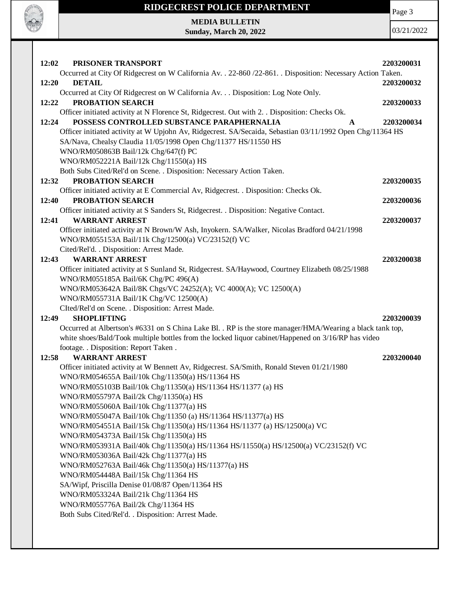Page 3

## **RIDGECREST POLICE DEPARTMENT**

**MEDIA BULLETIN Sunday, March 20, 2022**

**CALL OF CALL** 

| PRISONER TRANSPORT<br>12:02                                                                                                              | 2203200031 |
|------------------------------------------------------------------------------------------------------------------------------------------|------------|
| Occurred at City Of Ridgecrest on W California Av. . 22-860 /22-861. . Disposition: Necessary Action Taken.                              |            |
| <b>DETAIL</b><br>12:20                                                                                                                   | 2203200032 |
| Occurred at City Of Ridgecrest on W California Av. Disposition: Log Note Only.                                                           |            |
| PROBATION SEARCH<br>12:22                                                                                                                | 2203200033 |
| Officer initiated activity at N Florence St, Ridgecrest. Out with 2. . Disposition: Checks Ok.                                           |            |
| 12:24<br>POSSESS CONTROLLED SUBSTANCE PARAPHERNALIA<br>A                                                                                 | 2203200034 |
| Officer initiated activity at W Upjohn Av, Ridgecrest. SA/Secaida, Sebastian 03/11/1992 Open Chg/11364 HS                                |            |
| SA/Nava, Chealsy Claudia 11/05/1998 Open Chg/11377 HS/11550 HS                                                                           |            |
| WNO/RM050863B Bail/12k Chg/647(f) PC                                                                                                     |            |
| WNO/RM052221A Bail/12k Chg/11550(a) HS<br>Both Subs Cited/Rel'd on Scene. . Disposition: Necessary Action Taken.                         |            |
| PROBATION SEARCH<br>12:32                                                                                                                | 2203200035 |
| Officer initiated activity at E Commercial Av, Ridgecrest. . Disposition: Checks Ok.                                                     |            |
| PROBATION SEARCH<br>12:40                                                                                                                | 2203200036 |
| Officer initiated activity at S Sanders St, Ridgecrest. . Disposition: Negative Contact.                                                 |            |
| 12:41<br><b>WARRANT ARREST</b>                                                                                                           | 2203200037 |
| Officer initiated activity at N Brown/W Ash, Inyokern. SA/Walker, Nicolas Bradford 04/21/1998                                            |            |
| WNO/RM055153A Bail/11k Chg/12500(a) VC/23152(f) VC                                                                                       |            |
| Cited/Rel'd. . Disposition: Arrest Made.                                                                                                 |            |
| <b>WARRANT ARREST</b><br>12:43                                                                                                           | 2203200038 |
| Officer initiated activity at S Sunland St, Ridgecrest. SA/Haywood, Courtney Elizabeth 08/25/1988                                        |            |
| WNO/RM055185A Bail/6K Chg/PC 496(A)                                                                                                      |            |
| WNO/RM053642A Bail/8K Chgs/VC 24252(A); VC 4000(A); VC 12500(A)                                                                          |            |
| WNO/RM055731A Bail/1K Chg/VC 12500(A)                                                                                                    |            |
| CIted/Rel'd on Scene. . Disposition: Arrest Made.                                                                                        |            |
| <b>SHOPLIFTING</b><br>12:49                                                                                                              | 2203200039 |
| Occurred at Albertson's #6331 on S China Lake Bl. . RP is the store manager/HMA/Wearing a black tank top,                                |            |
| white shoes/Bald/Took multiple bottles from the locked liquor cabinet/Happened on 3/16/RP has video                                      |            |
| footage. . Disposition: Report Taken .                                                                                                   |            |
| 12:58<br><b>WARRANT ARREST</b>                                                                                                           | 2203200040 |
| Officer initiated activity at W Bennett Av, Ridgecrest. SA/Smith, Ronald Steven 01/21/1980                                               |            |
| WNO/RM054655A Bail/10k Chg/11350(a) HS/11364 HS                                                                                          |            |
| WNO/RM055103B Bail/10k Chg/11350(a) HS/11364 HS/11377 (a) HS                                                                             |            |
| WNO/RM055797A Bail/2k Chg/11350(a) HS                                                                                                    |            |
| WNO/RM055060A Bail/10k Chg/11377(a) HS                                                                                                   |            |
| WNO/RM055047A Bail/10k Chg/11350 (a) HS/11364 HS/11377(a) HS<br>WNO/RM054551A Bail/15k Chg/11350(a) HS/11364 HS/11377 (a) HS/12500(a) VC |            |
| WNO/RM054373A Bail/15k Chg/11350(a) HS                                                                                                   |            |
| WNO/RM053931A Bail/40k Chg/11350(a) HS/11364 HS/11550(a) HS/12500(a) VC/23152(f) VC                                                      |            |
| WNO/RM053036A Bail/42k Chg/11377(a) HS                                                                                                   |            |
| WNO/RM052763A Bail/46k Chg/11350(a) HS/11377(a) HS                                                                                       |            |
| WNO/RM054448A Bail/15k Chg/11364 HS                                                                                                      |            |
| SA/Wipf, Priscilla Denise 01/08/87 Open/11364 HS                                                                                         |            |
| WNO/RM053324A Bail/21k Chg/11364 HS                                                                                                      |            |
| WNO/RM055776A Bail/2k Chg/11364 HS                                                                                                       |            |
| Both Subs Cited/Rel'd. . Disposition: Arrest Made.                                                                                       |            |
|                                                                                                                                          |            |
|                                                                                                                                          |            |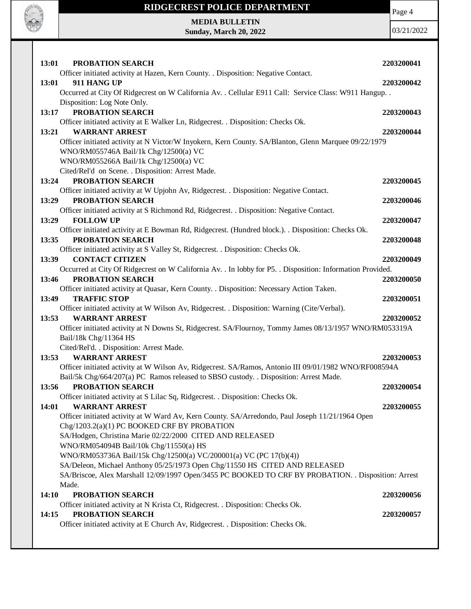

**14:01 WARRANT ARREST 2203200055** Officer initiated activity at W Ward Av, Kern County. SA/Arredondo, Paul Joseph 11/21/1964 Open Chg/1203.2(a)(1) PC BOOKED CRF BY PROBATION SA/Hodgen, Christina Marie 02/22/2000 CITED AND RELEASED WNO/RM054094B Bail/10k Chg/11550(a) HS WNO/RM053736A Bail/15k Chg/12500(a) VC/200001(a) VC (PC 17(b)(4)) SA/Deleon, Michael Anthony 05/25/1973 Open Chg/11550 HS CITED AND RELEASED SA/Briscoe, Alex Marshall 12/09/1997 Open/3455 PC BOOKED TO CRF BY PROBATION. . Disposition: Arrest Made. **14:10 PROBATION SEARCH 2203200056** Officer initiated activity at N Krista Ct, Ridgecrest. . Disposition: Checks Ok.

#### **14:15 PROBATION SEARCH 2203200057**

Officer initiated activity at E Church Av, Ridgecrest. . Disposition: Checks Ok.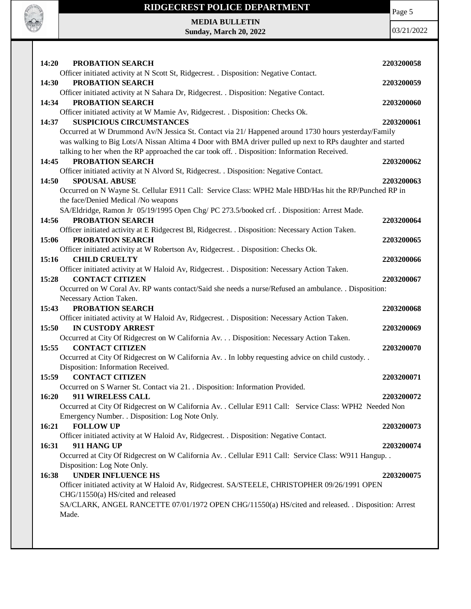

# **RIDGECREST POLICE DEPARTMENT MEDIA BULLETIN**

**Sunday, March 20, 2022**



| 14:20 | PROBATION SEARCH                                                                                          | 2203200058 |
|-------|-----------------------------------------------------------------------------------------------------------|------------|
|       | Officer initiated activity at N Scott St, Ridgecrest. . Disposition: Negative Contact.                    |            |
| 14:30 | PROBATION SEARCH                                                                                          | 2203200059 |
|       | Officer initiated activity at N Sahara Dr, Ridgecrest. . Disposition: Negative Contact.                   |            |
| 14:34 | PROBATION SEARCH                                                                                          | 2203200060 |
|       | Officer initiated activity at W Mamie Av, Ridgecrest. . Disposition: Checks Ok.                           |            |
| 14:37 | <b>SUSPICIOUS CIRCUMSTANCES</b>                                                                           | 2203200061 |
|       | Occurred at W Drummond Av/N Jessica St. Contact via 21/ Happened around 1730 hours yesterday/Family       |            |
|       | was walking to Big Lots/A Nissan Altima 4 Door with BMA driver pulled up next to RPs daughter and started |            |
|       | talking to her when the RP approached the car took off. . Disposition: Information Received.              |            |
| 14:45 | PROBATION SEARCH                                                                                          | 2203200062 |
|       | Officer initiated activity at N Alvord St, Ridgecrest. . Disposition: Negative Contact.                   |            |
| 14:50 | <b>SPOUSAL ABUSE</b>                                                                                      | 2203200063 |
|       | Occurred on N Wayne St. Cellular E911 Call: Service Class: WPH2 Male HBD/Has hit the RP/Punched RP in     |            |
|       | the face/Denied Medical /No weapons                                                                       |            |
|       | SA/Eldridge, Ramon Jr 05/19/1995 Open Chg/ PC 273.5/booked crf. . Disposition: Arrest Made.               |            |
| 14:56 | PROBATION SEARCH                                                                                          | 2203200064 |
|       | Officer initiated activity at E Ridgecrest Bl, Ridgecrest. . Disposition: Necessary Action Taken.         |            |
| 15:06 | PROBATION SEARCH                                                                                          | 2203200065 |
|       | Officer initiated activity at W Robertson Av, Ridgecrest. . Disposition: Checks Ok.                       |            |
| 15:16 | <b>CHILD CRUELTY</b>                                                                                      | 2203200066 |
|       | Officer initiated activity at W Haloid Av, Ridgecrest. . Disposition: Necessary Action Taken.             |            |
| 15:28 | <b>CONTACT CITIZEN</b>                                                                                    | 2203200067 |
|       | Occurred on W Coral Av. RP wants contact/Said she needs a nurse/Refused an ambulance. . Disposition:      |            |
|       | Necessary Action Taken.                                                                                   |            |
| 15:43 | PROBATION SEARCH                                                                                          | 2203200068 |
|       |                                                                                                           |            |
|       |                                                                                                           |            |
|       | Officer initiated activity at W Haloid Av, Ridgecrest. . Disposition: Necessary Action Taken.             |            |
| 15:50 | <b>IN CUSTODY ARREST</b>                                                                                  | 2203200069 |
|       | Occurred at City Of Ridgecrest on W California Av. Disposition: Necessary Action Taken.                   |            |
| 15:55 | <b>CONTACT CITIZEN</b>                                                                                    | 2203200070 |
|       | Occurred at City Of Ridgecrest on W California Av. . In lobby requesting advice on child custody. .       |            |
|       | Disposition: Information Received.                                                                        |            |
| 15:59 | <b>CONTACT CITIZEN</b>                                                                                    | 2203200071 |
|       | Occurred on S Warner St. Contact via 21. . Disposition: Information Provided.                             |            |
| 16:20 | 911 WIRELESS CALL                                                                                         | 2203200072 |
|       | Occurred at City Of Ridgecrest on W California Av. . Cellular E911 Call: Service Class: WPH2 Needed Non   |            |
|       | Emergency Number. . Disposition: Log Note Only.                                                           |            |
| 16:21 | <b>FOLLOW UP</b>                                                                                          | 2203200073 |
|       | Officer initiated activity at W Haloid Av, Ridgecrest. . Disposition: Negative Contact.                   |            |
| 16:31 | 911 HANG UP                                                                                               | 2203200074 |
|       | Occurred at City Of Ridgecrest on W California Av. . Cellular E911 Call: Service Class: W911 Hangup. .    |            |
|       | Disposition: Log Note Only.                                                                               |            |
| 16:38 | <b>UNDER INFLUENCE HS</b>                                                                                 | 2203200075 |
|       | Officer initiated activity at W Haloid Av, Ridgecrest. SA/STEELE, CHRISTOPHER 09/26/1991 OPEN             |            |
|       | CHG/11550(a) HS/cited and released                                                                        |            |
|       | SA/CLARK, ANGEL RANCETTE 07/01/1972 OPEN CHG/11550(a) HS/cited and released. . Disposition: Arrest        |            |
|       | Made.                                                                                                     |            |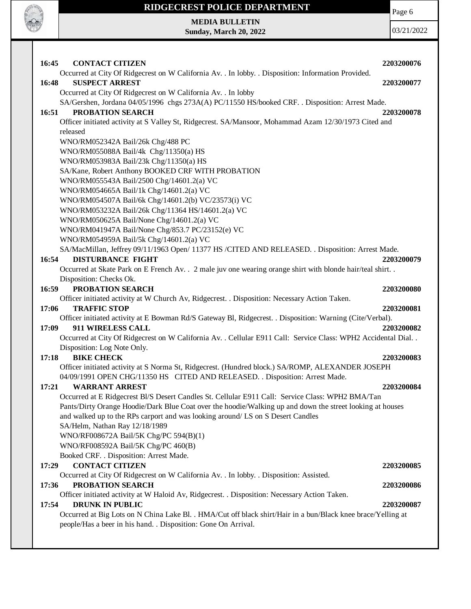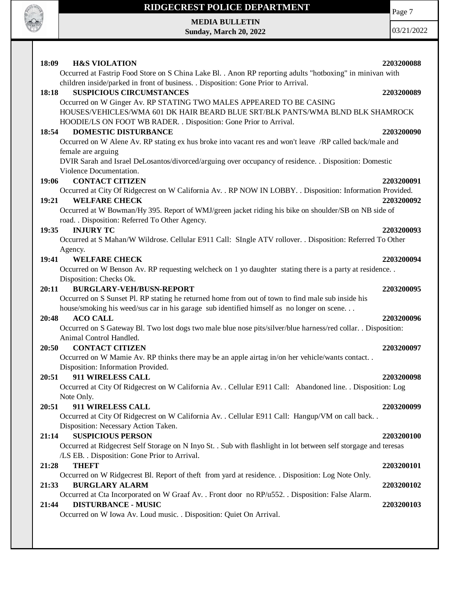

# **RIDGECREST POLICE DEPARTMENT**

**MEDIA BULLETIN Sunday, March 20, 2022**

Page 7

| 18:09 | <b>H&amp;S VIOLATION</b>                                                                                         | 2203200088 |
|-------|------------------------------------------------------------------------------------------------------------------|------------|
|       | Occurred at Fastrip Food Store on S China Lake Bl. . Anon RP reporting adults "hotboxing" in minivan with        |            |
|       | children inside/parked in front of business. . Disposition: Gone Prior to Arrival.                               |            |
| 18:18 | <b>SUSPICIOUS CIRCUMSTANCES</b>                                                                                  | 2203200089 |
|       | Occurred on W Ginger Av. RP STATING TWO MALES APPEARED TO BE CASING                                              |            |
|       | HOUSES/VEHICLES/WMA 601 DK HAIR BEARD BLUE SRT/BLK PANTS/WMA BLND BLK SHAMROCK                                   |            |
|       | HOODIE/LS ON FOOT WB RADER. . Disposition: Gone Prior to Arrival.                                                |            |
| 18:54 | <b>DOMESTIC DISTURBANCE</b>                                                                                      | 2203200090 |
|       | Occurred on W Alene Av. RP stating ex hus broke into vacant res and won't leave /RP called back/male and         |            |
|       | female are arguing                                                                                               |            |
|       | DVIR Sarah and Israel DeLosantos/divorced/arguing over occupancy of residence. . Disposition: Domestic           |            |
|       | Violence Documentation.                                                                                          |            |
| 19:06 | <b>CONTACT CITIZEN</b>                                                                                           | 2203200091 |
|       | Occurred at City Of Ridgecrest on W California Av. . RP NOW IN LOBBY. . Disposition: Information Provided.       |            |
| 19:21 | <b>WELFARE CHECK</b>                                                                                             | 2203200092 |
|       | Occurred at W Bowman/Hy 395. Report of WMJ/green jacket riding his bike on shoulder/SB on NB side of             |            |
|       | road. . Disposition: Referred To Other Agency.                                                                   |            |
| 19:35 | <b>INJURY TC</b>                                                                                                 | 2203200093 |
|       | Occurred at S Mahan/W Wildrose. Cellular E911 Call: SIngle ATV rollover. . Disposition: Referred To Other        |            |
|       | Agency.                                                                                                          |            |
| 19:41 | <b>WELFARE CHECK</b>                                                                                             | 2203200094 |
|       | Occurred on W Benson Av. RP requesting welcheck on 1 yo daughter stating there is a party at residence           |            |
|       | Disposition: Checks Ok.                                                                                          |            |
| 20:11 | <b>BURGLARY-VEH/BUSN-REPORT</b>                                                                                  | 2203200095 |
|       | Occurred on S Sunset Pl. RP stating he returned home from out of town to find male sub inside his                |            |
|       | house/smoking his weed/sus car in his garage sub identified himself as no longer on scene                        |            |
| 20:48 | <b>ACO CALL</b>                                                                                                  | 2203200096 |
|       | Occurred on S Gateway Bl. Two lost dogs two male blue nose pits/silver/blue harness/red collar. . Disposition:   |            |
|       | Animal Control Handled.                                                                                          |            |
| 20:50 | <b>CONTACT CITIZEN</b>                                                                                           | 2203200097 |
|       | Occurred on W Mamie Av. RP thinks there may be an apple airtag in/on her vehicle/wants contact                   |            |
|       | Disposition: Information Provided.                                                                               |            |
| 20:51 | 911 WIRELESS CALL                                                                                                | 2203200098 |
|       | Occurred at City Of Ridgecrest on W California Av. . Cellular E911 Call: Abandoned line. . Disposition: Log      |            |
|       | Note Only.                                                                                                       |            |
| 20:51 | 911 WIRELESS CALL                                                                                                | 2203200099 |
|       | Occurred at City Of Ridgecrest on W California Av. . Cellular E911 Call: Hangup/VM on call back. .               |            |
|       | Disposition: Necessary Action Taken.                                                                             |            |
| 21:14 | <b>SUSPICIOUS PERSON</b>                                                                                         | 2203200100 |
|       | Occurred at Ridgecrest Self Storage on N Inyo St. . Sub with flashlight in lot between self storgage and teresas |            |
|       | /LS EB. . Disposition: Gone Prior to Arrival.                                                                    |            |
| 21:28 | <b>THEFT</b>                                                                                                     | 2203200101 |
|       | Occurred on W Ridgecrest Bl. Report of theft from yard at residence. . Disposition: Log Note Only.               |            |
| 21:33 | <b>BURGLARY ALARM</b>                                                                                            | 2203200102 |
|       | Occurred at Cta Incorporated on W Graaf Av. . Front door no RP/u552. . Disposition: False Alarm.                 |            |
| 21:44 | <b>DISTURBANCE - MUSIC</b>                                                                                       | 2203200103 |
|       | Occurred on W Iowa Av. Loud music. . Disposition: Quiet On Arrival.                                              |            |
|       |                                                                                                                  |            |
|       |                                                                                                                  |            |